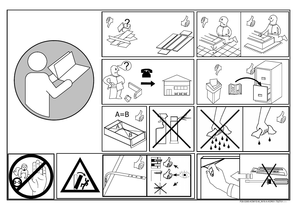

P28-S365-KOM1S-M\_IN19-A-KOR01-TSZT01.idw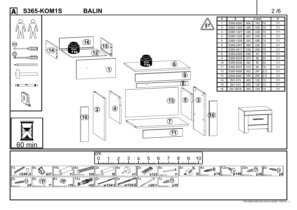

P28-S365-KOM1S-M\_IN19-A-KOR01-TSZT01.idw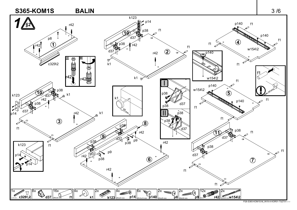

P28-S365-KOM1S-M\_IN19-A-KOR01-TSZT01.idw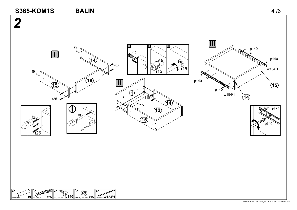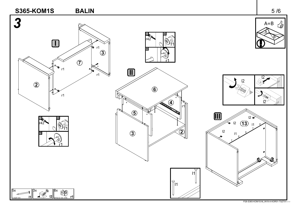